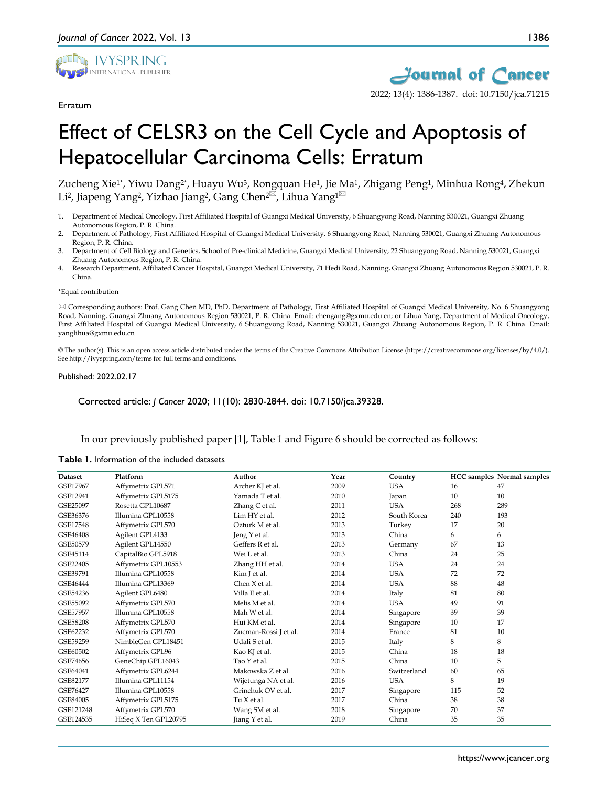

Erratum

2022; 13(4): 1386-1387. doi: 10.7150/jca.71215

# Effect of CELSR3 on the Cell Cycle and Apoptosis of Hepatocellular Carcinoma Cells: Erratum

Zucheng Xie1\*, Yiwu Dang2\*, Huayu Wu3, Rongquan He1, Jie Ma1, Zhigang Peng1, Minhua Rong4, Zhekun Li<sup>2</sup>, Jiapeng Yang<sup>2</sup>, Yizhao Jiang<sup>2</sup>, Gang Chen<sup>2 $\boxtimes$ </sup>, Lihua Yang<sup>1 $\boxtimes$ </sup>

- 1. Department of Medical Oncology, First Affiliated Hospital of Guangxi Medical University, 6 Shuangyong Road, Nanning 530021, Guangxi Zhuang Autonomous Region, P. R. China.
- 2. Department of Pathology, First Affiliated Hospital of Guangxi Medical University, 6 Shuangyong Road, Nanning 530021, Guangxi Zhuang Autonomous Region, P. R. China.
- 3. Department of Cell Biology and Genetics, School of Pre-clinical Medicine, Guangxi Medical University, 22 Shuangyong Road, Nanning 530021, Guangxi Zhuang Autonomous Region, P. R. China.
- 4. Research Department, Affiliated Cancer Hospital, Guangxi Medical University, 71 Hedi Road, Nanning, Guangxi Zhuang Autonomous Region 530021, P. R. China.

#### \*Equal contribution

 Corresponding authors: Prof. Gang Chen MD, PhD, Department of Pathology, First Affiliated Hospital of Guangxi Medical University, No. 6 Shuangyong Road, Nanning, Guangxi Zhuang Autonomous Region 530021, P. R. China. Email: chengang@gxmu.edu.cn; or Lihua Yang, Department of Medical Oncology, First Affiliated Hospital of Guangxi Medical University, 6 Shuangyong Road, Nanning 530021, Guangxi Zhuang Autonomous Region, P. R. China. Email: yanglihua@gxmu.edu.cn

© The author(s). This is an open access article distributed under the terms of the Creative Commons Attribution License (https://creativecommons.org/licenses/by/4.0/). See http://ivyspring.com/terms for full terms and conditions.

#### Published: 2022.02.17

Corrected article: *J Cancer* 2020; 11(10): 2830-2844. doi: 10.7150/jca.39328.

In our previously published paper [1], Table 1 and Figure 6 should be corrected as follows:

### **Table 1.** Information of the included datasets

| <b>Dataset</b> | Platform             | Author                | Year | Country     |     | <b>HCC</b> samples Normal samples |
|----------------|----------------------|-----------------------|------|-------------|-----|-----------------------------------|
| GSE17967       | Affymetrix GPL571    | Archer KJ et al.      | 2009 | <b>USA</b>  | 16  | 47                                |
| GSE12941       | Affymetrix GPL5175   | Yamada T et al.       | 2010 | Japan       | 10  | 10                                |
| GSE25097       | Rosetta GPL10687     | Zhang C et al.        | 2011 | <b>USA</b>  | 268 | 289                               |
| GSE36376       | Illumina GPL10558    | Lim HY et al.         | 2012 | South Korea | 240 | 193                               |
| GSE17548       | Affymetrix GPL570    | Ozturk M et al.       | 2013 | Turkey      | 17  | 20                                |
| GSE46408       | Agilent GPL4133      | Jeng Y et al.         | 2013 | China       | 6   | 6                                 |
| GSE50579       | Agilent GPL14550     | Geffers R et al.      | 2013 | Germany     | 67  | 13                                |
| GSE45114       | CapitalBio GPL5918   | Wei L et al.          | 2013 | China       | 24  | 25                                |
| GSE22405       | Affymetrix GPL10553  | Zhang HH et al.       | 2014 | <b>USA</b>  | 24  | 24                                |
| GSE39791       | Illumina GPL10558    | Kim J et al.          | 2014 | <b>USA</b>  | 72  | 72                                |
| GSE46444       | Illumina GPL13369    | Chen X et al.         | 2014 | <b>USA</b>  | 88  | 48                                |
| GSE54236       | Agilent GPL6480      | Villa E et al.        | 2014 | Italy       | 81  | 80                                |
| GSE55092       | Affymetrix GPL570    | Melis M et al.        | 2014 | <b>USA</b>  | 49  | 91                                |
| GSE57957       | Illumina GPL10558    | Mah W et al.          | 2014 | Singapore   | 39  | 39                                |
| GSE58208       | Affymetrix GPL570    | Hui KM et al.         | 2014 | Singapore   | 10  | 17                                |
| GSE62232       | Affymetrix GPL570    | Zucman-Rossi J et al. | 2014 | France      | 81  | 10                                |
| GSE59259       | NimbleGen GPL18451   | Udali S et al.        | 2015 | Italy       | 8   | 8                                 |
| GSE60502       | Affymetrix GPL96     | Kao KJ et al.         | 2015 | China       | 18  | 18                                |
| GSE74656       | GeneChip GPL16043    | Tao Y et al.          | 2015 | China       | 10  | 5                                 |
| GSE64041       | Affymetrix GPL6244   | Makowska Z et al.     | 2016 | Switzerland | 60  | 65                                |
| GSE82177       | Illumina GPL11154    | Wijetunga NA et al.   | 2016 | <b>USA</b>  | 8   | 19                                |
| GSE76427       | Illumina GPL10558    | Grinchuk OV et al.    | 2017 | Singapore   | 115 | 52                                |
| GSE84005       | Affymetrix GPL5175   | $TuX$ et al.          | 2017 | China       | 38  | 38                                |
| GSE121248      | Affymetrix GPL570    | Wang SM et al.        | 2018 | Singapore   | 70  | 37                                |
| GSE124535      | HiSeq X Ten GPL20795 | Jiang Y et al.        | 2019 | China       | 35  | 35                                |